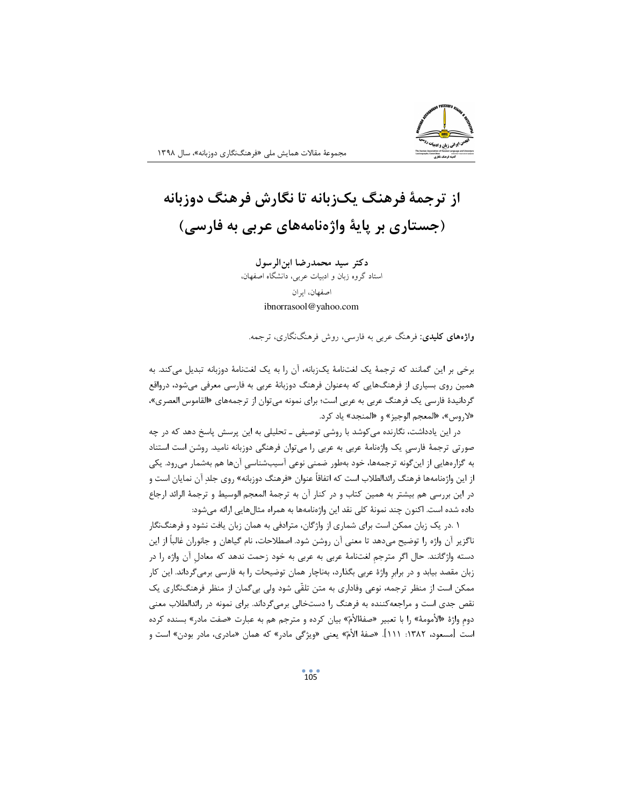## از ترجمهٔ فرهنگ یکزبانه تا نگارش فرهنگ دوزبانه (جستاری بر پایهٔ واژهنامههای عربی به فارسی)

دكتر سيد محمدرضا ابن الرسول استاد گروه زبان و ادبیات عربی، دانشگاه اصفهان، اصفهان، ایران ibnorrasool@yahoo.com

**واژههای کلیدی**: فرهنگ عربی به فارسی، روش فرهنگ(کاری، ترجمه.

برخی بر این گمانند که ترجمهٔ یک لغتنامهٔ یکزبانه، آن را به یک لغتنامهٔ دوزبانه تبدیل میکند. به همین روی بسیاری از فرهنگهایی که بهعنوان فرهنگ دوزبانهٔ عربی به فارسی معرفی میشود، درواقع گردانیدهٔ فارسی یک فرهنگ عربی به عربی است؛ برای نمونه میتوان از ترجمههای «القاموس العصری»، «لاروس»، «المعجم الوجيز» و «المنجد» ياد كرد.

در این یادداشت، نگارنده میکوشد با روشی توصیفی ـ تحلیلی به این پرسش پاسخ دهد که در چه صورتی ترجمهٔ فارسیِ یک واژهنامهٔ عربی به عربی را میتوان فرهنگی دوزبانه نامید. روشن است استناد به گزارههایی از این گونه ترجمهها، خود بهطور ضمنی نوعی آسیبشناسی آنها هم بهشمار میرود. یکی از این واژهنامهها فرهنگ رائدالطلاب است که اتفاقاً عنوان «فرهنگ دوزبانه» روی جلدِ آن نمایان است و در این بررسی هم بیشتر به همین کتاب و در کنار آن به ترجمهٔ المعجم الوسیط و ترجمهٔ الرائد ارجاع داده شده است. اکنون چند نمونهٔ کلی نقد این واژهنامهها به همراه مثالهایی ارائه می شود:

۱ .در یک زبان ممکن است برای شماری از واژگان، مترادفی به همان زبان یافت نشود و فرهنگنگار ناگزیر آن واژه را توضیح میدهد تا معنی آن روشن شود. اصطلاحات، نام گیاهان و جانوران غالباً از این دسته واژگانند. حال اگر مترجم لغتنامهٔ عربی به عربی به خود زحمت ندهد که معادلِ آن واژه را در زبان مقصد بیابد و در برابر واژهٔ عربی بگذارد، بهناچار همان توضیحات را به فارسی برمی گرداند. این کار ممکن است از منظر ترجمه، نوعی وفاداری به متن تلقّی شود ولی بیگمان از منظر فرهنگنگاری یک نقص جدی است و مراجعه کننده به فرهنگ را دستخالی برمیگرداند. برای نمونه در رائدالطلاب معنی دوم واژهٔ «الأمومهٔ» را با تعبیر «صفهٔالأمّ» بیان کرده و مترجم هم به عبارت «صفت مادر» بسنده کرده است [مسعود، ١٣٨٢: ١١١]. «صفهٔ الأمّ» يعني «ويژگي مادر» كه همان «مادري، مادر بودن» است و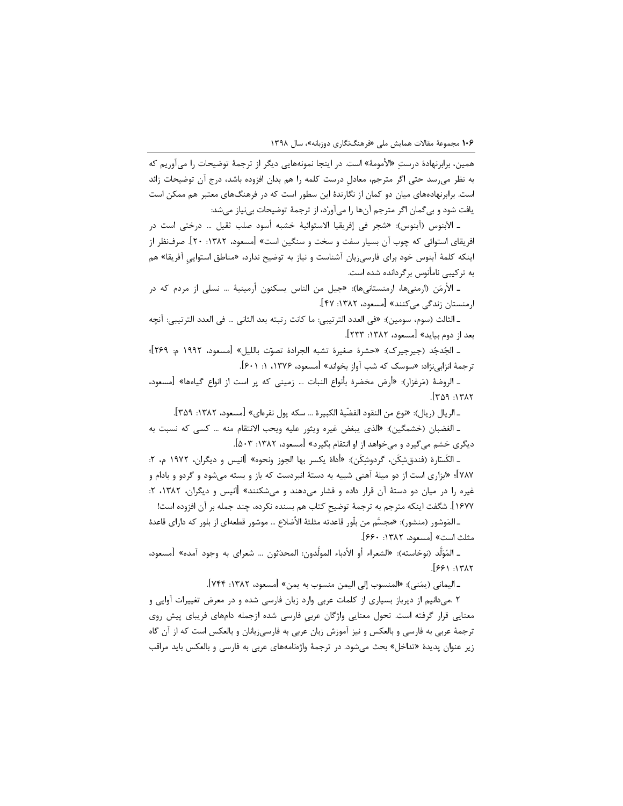همین، برابرنهادهٔ درستِ «الأمومهٔ» است. در اینجا نمونههایی دیگر از ترجمهٔ توضیحات را میآوریم که به نظر میرسد حتی اگر مترجم، معادل درست کلمه را هم بدان افزوده باشد، درج آن توضیحات زائد است. برابرنهادههای میان دو کمان از نگارندهٔ این سطور است که در فرهنگهای معتبر هم ممکن است يافت شود و بي گمان اگر مترجم آنها را مي آورد، از ترجمهٔ توضيحات بي نياز مي شد:

ـ الآبنوس (آبنوس): «شجر في إفريقيا الاستوائية خشبه أسود صلب ثقيل … درختي است در افريقاى استوائى كه چوب آن بسيار سفت و سخت و سنگين است» [مسعود، ١٣٨٢: ٢٠]. صرفنظر از اینکه کلمهٔ آبنوس خود برای فارسیزبان آشناست و نیاز به توضیح ندارد، «مناطق استوایی آفریقا» هم به ترکیبی نامأنوس برگردانده شده است.

ـ الأرمَن (ارمنيها، ارمنستانيها): «جيل من الناس يسكنون أرمينيهٔ … نسلي از مردم كه در ارمنستان زندگی میکنند» [مسعود، ۱۳۸۲: ۴۷].

ـ الثالث (سوم، سومين): «في العدد الترتيبي: ما كانت رتبته بعد الثاني … في العدد الترتيبي: آنچه بعد از دوم بيايد» [مسعود، ١٣٨٢: ٢٣٣].

ـ الجُدجُد (جيرجيرک): «حشرهٔ صغيرهٔ تشبه الجرادهٔ تصوّت بالليل» [مسعود، ١٩٩٢ م: ٢۶٩]؛ ترجمهٔ انزابینژاد: «سوسک که شب آواز بخواند» [مسعود، ۱۳۷۶، ۱: ۶۰۱].

ـ الروضةَ (مَرغزار): «أرض مخضرة بأنواع النبات … زميني كه پر است از انواع گياهها» [مسعود،  $TATI: PAT].$ 

ـ الريال (ريال): «نوع من النقود الفضّية الكبيرة … سكه يول نقرهاي» [مسعود، ١٣٨٢: ٣۵٩].

ـ الغضبان (خشمگين): «الذي يبغض غيره ويثور عليه ويحب الانتقام منه … كسي كه نسبت به دیگری خشم می گیرد و می خواهد از او انتقام بگیرد» [مسعود، ۱۳۸۲: ۵۰۳].

ـ الكَسّارة (فندقشكَن، گردوشكَن): «أداهٔ يكسر بها الجوز ونحوه» [انيس و ديگران، ١٩٧٢ م، ٢: ۷۸۷]؛ «ابزاری است از دو میلهٔ آهنی شبیه به دستهٔ انبردست که باز و بسته میشود و گردو و بادام و غیره را در میان دو دستهٔ آن قرار داده و فشار میدهند و میشکنند» اانیس و دیگران، ۱۳۸۲، ۲: ١۶٧٧]. شگفت اينكه مترجم به ترجمهٔ توضيح كتاب هم بسنده نكرده، چند جمله بر آن افزوده است!

ـ المَوشور (منشور): «مجسَّم من بلّور قاعدته مثلثهٔ الأضلاع … موشور قطعه|ى از بلور كه داراى قاعدهٔ مثلث است» [مسعود، ١٣٨٢: ۶۶٠].

ـ المُوَلَّد (نوخاسته): «الشعراء أو الأدباء المولَّدون: المحدَثون … شعراي به وجود آمده» [مسعود،  $[551.1717]$ 

ـ اليماني (يمَني): «المنسوب إلى اليمن منسوب به يمن» [مسعود، ١٣٨٢: ٧۴۴].

۲ .می دانیم از دیرباز بسیاری از کلمات عربی وارد زبان فارسی شده و در معرض تغییرات آوایی و معنایی قرار گرفته است. تحول معنایی واژگان عربی فارسی شده ازجمله دامهای فریبای پیش روی ترجمهٔ عربی به فارسی و بالعکس و نیز آموزش زبان عربی به فارسیزبانان و بالعکس است که از آن گاه زیر عنوان پدیدهٔ «تداخل» بحث میشود. در ترجمهٔ واژهنامههای عربی به فارسی و بالعکس باید مراقب